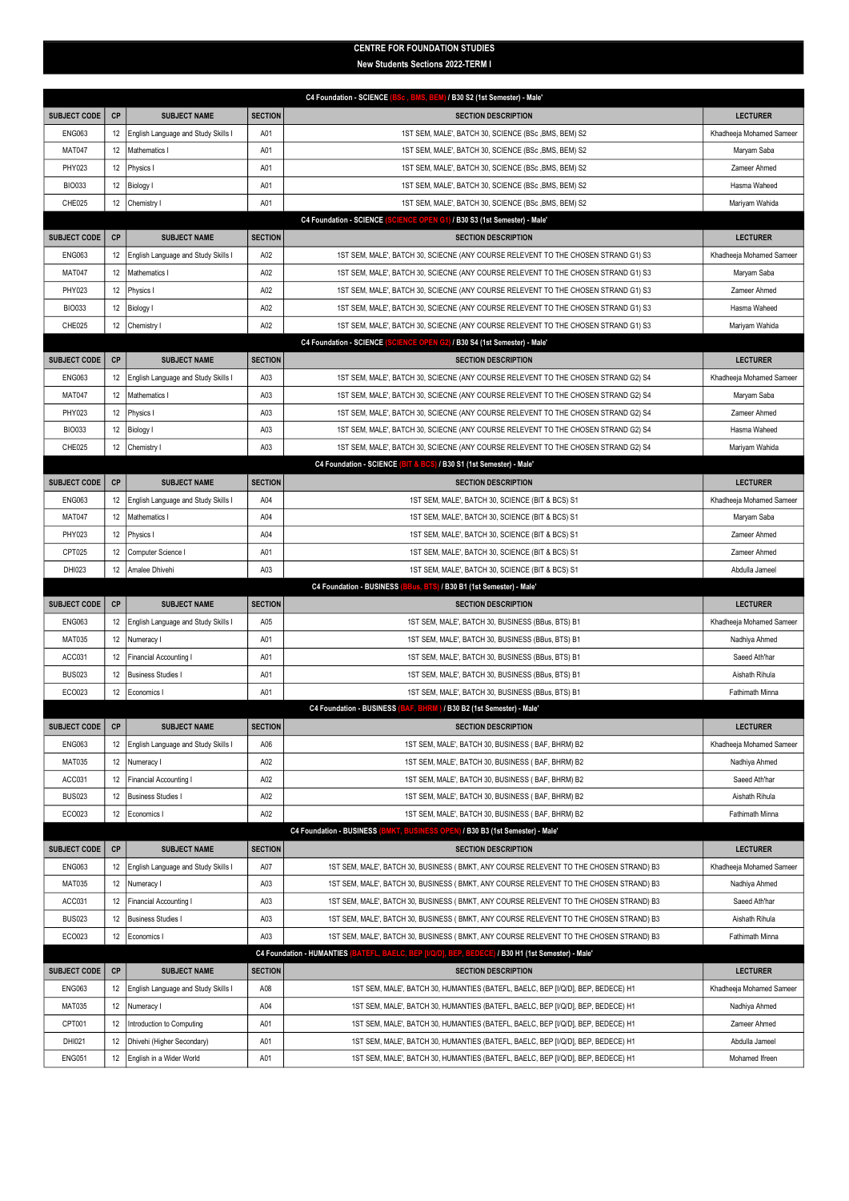## CENTRE FOR FOUNDATION STUDIES

New Students Sections 2022-TERM I

|                                                                                   |          |                                                   |                | BSc, BMS, BEM) / B30 S2 (1st Semester) - Male'<br><b>C4 Foundation - SCIENCE</b>                                                                                     |                               |  |  |  |  |
|-----------------------------------------------------------------------------------|----------|---------------------------------------------------|----------------|----------------------------------------------------------------------------------------------------------------------------------------------------------------------|-------------------------------|--|--|--|--|
| <b>SUBJECT CODE</b>                                                               | CP       | <b>SUBJECT NAME</b>                               | <b>SECTION</b> | <b>SECTION DESCRIPTION</b>                                                                                                                                           | <b>LECTURER</b>               |  |  |  |  |
| <b>ENG063</b>                                                                     | 12       | English Language and Study Skills I               | A01            | 1ST SEM, MALE', BATCH 30, SCIENCE (BSc, BMS, BEM) S2                                                                                                                 | Khadheeja Mohamed Sameer      |  |  |  |  |
| <b>MAT047</b>                                                                     | 12       | Mathematics I                                     | A01            | 1ST SEM, MALE', BATCH 30, SCIENCE (BSc , BMS, BEM) S2                                                                                                                | Maryam Saba                   |  |  |  |  |
| PHY023                                                                            | 12       | Physics I                                         | A01            | 1ST SEM, MALE', BATCH 30, SCIENCE (BSc, BMS, BEM) S2                                                                                                                 | Zameer Ahmed                  |  |  |  |  |
| <b>BIO033</b>                                                                     | 12       | <b>Biology I</b>                                  | A01            | 1ST SEM, MALE', BATCH 30, SCIENCE (BSc, BMS, BEM) S2                                                                                                                 | Hasma Waheed                  |  |  |  |  |
| CHE025                                                                            | 12       | Chemistry I                                       | A01            | 1ST SEM, MALE', BATCH 30, SCIENCE (BSc, BMS, BEM) S2                                                                                                                 | Mariyam Wahida                |  |  |  |  |
| CIENCE OPEN G1) / B30 S3 (1st Semester) - Male'<br><b>C4 Foundation - SCIENCE</b> |          |                                                   |                |                                                                                                                                                                      |                               |  |  |  |  |
| <b>SUBJECT CODE</b>                                                               | CP       | <b>SUBJECT NAME</b>                               | <b>SECTION</b> | <b>SECTION DESCRIPTION</b>                                                                                                                                           | <b>LECTURER</b>               |  |  |  |  |
| <b>ENG063</b>                                                                     | 12       | English Language and Study Skills I               | A02            | 1ST SEM, MALE', BATCH 30, SCIECNE (ANY COURSE RELEVENT TO THE CHOSEN STRAND G1) S3                                                                                   | Khadheeja Mohamed Sameer      |  |  |  |  |
| <b>MAT047</b>                                                                     | 12       | Mathematics I                                     | A02            | 1ST SEM, MALE', BATCH 30, SCIECNE (ANY COURSE RELEVENT TO THE CHOSEN STRAND G1) S3                                                                                   | Maryam Saba                   |  |  |  |  |
| PHY023                                                                            | 12       | Physics I                                         | A02            | 1ST SEM, MALE', BATCH 30, SCIECNE (ANY COURSE RELEVENT TO THE CHOSEN STRAND G1) S3                                                                                   | Zameer Ahmed                  |  |  |  |  |
| <b>BIO033</b>                                                                     | 12       | Biology I                                         | A02            | 1ST SEM, MALE', BATCH 30, SCIECNE (ANY COURSE RELEVENT TO THE CHOSEN STRAND G1) S3                                                                                   | Hasma Waheed                  |  |  |  |  |
| CHE025                                                                            | 12       | Chemistry I                                       | A02            | 1ST SEM, MALE', BATCH 30, SCIECNE (ANY COURSE RELEVENT TO THE CHOSEN STRAND G1) S3                                                                                   | Mariyam Wahida                |  |  |  |  |
|                                                                                   |          |                                                   |                | ICE OPEN G2) / B30 S4 (1st Semester) - Male'<br><b>C4 Foundation - SCIENCE</b>                                                                                       |                               |  |  |  |  |
| <b>SUBJECT CODE</b>                                                               | CP       | <b>SUBJECT NAME</b>                               | <b>SECTION</b> | <b>SECTION DESCRIPTION</b>                                                                                                                                           | <b>LECTURER</b>               |  |  |  |  |
| <b>ENG063</b>                                                                     | 12       | English Language and Study Skills I               | A03            | 1ST SEM, MALE', BATCH 30, SCIECNE (ANY COURSE RELEVENT TO THE CHOSEN STRAND G2) S4                                                                                   | Khadheeja Mohamed Sameer      |  |  |  |  |
| <b>MAT047</b>                                                                     | 12       | Mathematics I                                     | A03            | 1ST SEM, MALE', BATCH 30, SCIECNE (ANY COURSE RELEVENT TO THE CHOSEN STRAND G2) S4                                                                                   | Maryam Saba                   |  |  |  |  |
| PHY023                                                                            | 12       | Physics I                                         | A03            | 1ST SEM, MALE', BATCH 30, SCIECNE (ANY COURSE RELEVENT TO THE CHOSEN STRAND G2) S4                                                                                   | Zameer Ahmed                  |  |  |  |  |
| <b>BIO033</b>                                                                     | 12       | Biology I                                         | A03            | 1ST SEM, MALE', BATCH 30, SCIECNE (ANY COURSE RELEVENT TO THE CHOSEN STRAND G2) S4                                                                                   | Hasma Waheed                  |  |  |  |  |
| CHE025                                                                            | 12       | Chemistry I                                       | A03            | 1ST SEM, MALE', BATCH 30, SCIECNE (ANY COURSE RELEVENT TO THE CHOSEN STRAND G2) S4<br>C4 Foundation - SCIENCE (BIT & BCS) / B30 S1 (1st Semester) - Male'            | Mariyam Wahida                |  |  |  |  |
| <b>SUBJECT CODE</b>                                                               | CP       | <b>SUBJECT NAME</b>                               | <b>SECTION</b> | <b>SECTION DESCRIPTION</b>                                                                                                                                           | <b>LECTURER</b>               |  |  |  |  |
| <b>ENG063</b>                                                                     | 12       | English Language and Study Skills I               | A04            | 1ST SEM, MALE', BATCH 30, SCIENCE (BIT & BCS) S1                                                                                                                     | Khadheeja Mohamed Sameer      |  |  |  |  |
| <b>MAT047</b>                                                                     | 12       | Mathematics I                                     | A04            | 1ST SEM, MALE', BATCH 30, SCIENCE (BIT & BCS) S1                                                                                                                     | Maryam Saba                   |  |  |  |  |
| PHY023                                                                            | 12       | Physics I                                         | A04            | 1ST SEM, MALE', BATCH 30, SCIENCE (BIT & BCS) S1                                                                                                                     | Zameer Ahmed                  |  |  |  |  |
| CPT025                                                                            | 12       | Computer Science I                                | A01            | 1ST SEM, MALE', BATCH 30, SCIENCE (BIT & BCS) S1                                                                                                                     | Zameer Ahmed                  |  |  |  |  |
| DHI023                                                                            | 12       | Amalee Dhivehi                                    | A03            | 1ST SEM, MALE', BATCH 30, SCIENCE (BIT & BCS) S1                                                                                                                     | Abdulla Jameel                |  |  |  |  |
|                                                                                   |          |                                                   |                |                                                                                                                                                                      |                               |  |  |  |  |
|                                                                                   |          |                                                   |                | <b>C4 Foundation - BUSINESS</b><br>BBus, BTS) / B30 B1 (1st Semester) - Male'                                                                                        |                               |  |  |  |  |
| <b>SUBJECT CODE</b>                                                               | CP       | <b>SUBJECT NAME</b>                               | <b>SECTION</b> | <b>SECTION DESCRIPTION</b>                                                                                                                                           | <b>LECTURER</b>               |  |  |  |  |
| <b>ENG063</b>                                                                     | 12       | English Language and Study Skills I               | A05            | 1ST SEM, MALE', BATCH 30, BUSINESS (BBus, BTS) B1                                                                                                                    | Khadheeja Mohamed Sameer      |  |  |  |  |
| <b>MAT035</b>                                                                     | 12       | Numeracy I                                        | A01            | 1ST SEM, MALE', BATCH 30, BUSINESS (BBus, BTS) B1                                                                                                                    | Nadhiya Ahmed                 |  |  |  |  |
| ACC031                                                                            | 12       | Financial Accounting I                            | A01            | 1ST SEM, MALE', BATCH 30, BUSINESS (BBus, BTS) B1                                                                                                                    | Saeed Ath'har                 |  |  |  |  |
| <b>BUS023</b>                                                                     | 12       | <b>Business Studies I</b>                         | A01            | 1ST SEM, MALE', BATCH 30, BUSINESS (BBus, BTS) B1                                                                                                                    | Aishath Rihula                |  |  |  |  |
| ECO023                                                                            | 12       | Economics I                                       | A01            | 1ST SEM, MALE', BATCH 30, BUSINESS (BBus, BTS) B1                                                                                                                    | Fathimath Minna               |  |  |  |  |
|                                                                                   |          |                                                   |                | C4 Foundation - BUSINESS (BAF, BHRM) / B30 B2 (1st Semester) - Male'                                                                                                 |                               |  |  |  |  |
| SUBJECT CODE   CP                                                                 |          | <b>SUBJECT NAME</b>                               | SECTION        | <b>SECTION DESCRIPTION</b>                                                                                                                                           | <b>LECTURER</b>               |  |  |  |  |
| <b>ENG063</b>                                                                     | 12       | English Language and Study Skills I               | A06            | 1ST SEM, MALE', BATCH 30, BUSINESS (BAF, BHRM) B2                                                                                                                    | Khadheeja Mohamed Sameer      |  |  |  |  |
| <b>MAT035</b>                                                                     | 12       | Numeracy I                                        | A02            | 1ST SEM, MALE', BATCH 30, BUSINESS (BAF, BHRM) B2                                                                                                                    | Nadhiya Ahmed                 |  |  |  |  |
| ACC031                                                                            | 12       | Financial Accounting I                            | A02            | 1ST SEM, MALE', BATCH 30, BUSINESS (BAF, BHRM) B2                                                                                                                    | Saeed Ath'har                 |  |  |  |  |
| <b>BUS023</b>                                                                     | 12       | <b>Business Studies I</b>                         | A02            | 1ST SEM, MALE', BATCH 30, BUSINESS (BAF, BHRM) B2                                                                                                                    | Aishath Rihula                |  |  |  |  |
| ECO023                                                                            | 12       | Economics I                                       | A02            | 1ST SEM, MALE', BATCH 30, BUSINESS (BAF, BHRM) B2                                                                                                                    | Fathimath Minna               |  |  |  |  |
|                                                                                   |          |                                                   |                | <b>C4 Foundation - BUSINESS</b><br>VESS OPEN) / B30 B3 (1st Semester) - Male'                                                                                        |                               |  |  |  |  |
| <b>SUBJECT CODE</b>                                                               | CP       | <b>SUBJECT NAME</b>                               | <b>SECTION</b> | <b>SECTION DESCRIPTION</b>                                                                                                                                           | <b>LECTURER</b>               |  |  |  |  |
| <b>ENG063</b>                                                                     | 12       | English Language and Study Skills I               | A07            | 1ST SEM, MALE', BATCH 30, BUSINESS (BMKT, ANY COURSE RELEVENT TO THE CHOSEN STRAND) B3                                                                               | Khadheeja Mohamed Sameer      |  |  |  |  |
| <b>MAT035</b>                                                                     | 12       | Numeracy I                                        | A03            | 1ST SEM, MALE', BATCH 30, BUSINESS (BMKT, ANY COURSE RELEVENT TO THE CHOSEN STRAND) B3                                                                               | Nadhiya Ahmed                 |  |  |  |  |
| ACC031                                                                            | 12       | Financial Accounting I                            | A03            | 1ST SEM, MALE', BATCH 30, BUSINESS (BMKT, ANY COURSE RELEVENT TO THE CHOSEN STRAND) B3                                                                               | Saeed Ath'har                 |  |  |  |  |
| <b>BUS023</b>                                                                     | 12       | <b>Business Studies I</b>                         | A03            | 1ST SEM, MALE', BATCH 30, BUSINESS (BMKT, ANY COURSE RELEVENT TO THE CHOSEN STRAND) B3                                                                               | Aishath Rihula                |  |  |  |  |
| ECO023                                                                            | 12       | Economics I                                       | A03            | 1ST SEM, MALE', BATCH 30, BUSINESS (BMKT, ANY COURSE RELEVENT TO THE CHOSEN STRAND) B3                                                                               | Fathimath Minna               |  |  |  |  |
|                                                                                   |          |                                                   |                | C4 Foundation - HUMANTIES (BATEFL, BAELC, BEP [I/Q/D], BEP, BEDECE) / B30 H1 (1st Semester) - Male'                                                                  |                               |  |  |  |  |
| <b>SUBJECT CODE</b>                                                               | CP       | <b>SUBJECT NAME</b>                               | <b>SECTION</b> | <b>SECTION DESCRIPTION</b>                                                                                                                                           | <b>LECTURER</b>               |  |  |  |  |
| <b>ENG063</b><br><b>MAT035</b>                                                    | 12<br>12 | English Language and Study Skills I<br>Numeracy I | A08<br>A04     | 1ST SEM, MALE', BATCH 30, HUMANTIES (BATEFL, BAELC, BEP [I/Q/D], BEP, BEDECE) H1                                                                                     | Khadheeja Mohamed Sameer      |  |  |  |  |
| CPT001                                                                            | 12       | ntroduction to Computing                          | A01            | 1ST SEM, MALE', BATCH 30, HUMANTIES (BATEFL, BAELC, BEP [I/Q/D], BEP, BEDECE) H1<br>1ST SEM, MALE', BATCH 30, HUMANTIES (BATEFL, BAELC, BEP [I/Q/D], BEP, BEDECE) H1 | Nadhiya Ahmed<br>Zameer Ahmed |  |  |  |  |
| DHI021                                                                            | 12       | Dhivehi (Higher Secondary)                        | A01            | 1ST SEM, MALE', BATCH 30, HUMANTIES (BATEFL, BAELC, BEP [I/Q/D], BEP, BEDECE) H1                                                                                     | Abdulla Jameel                |  |  |  |  |